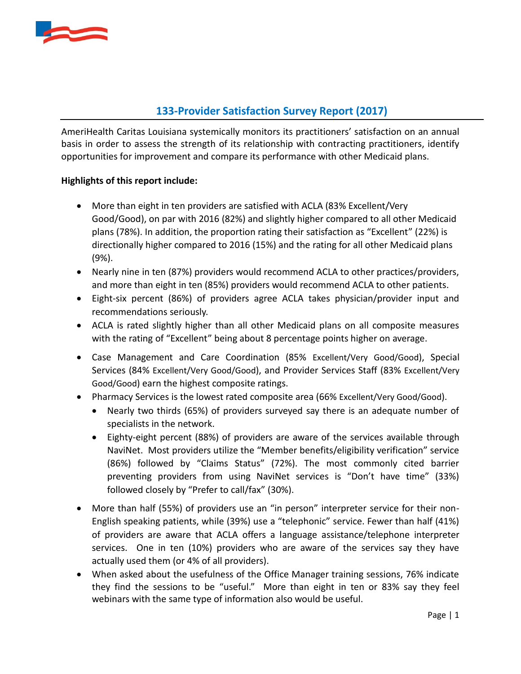

### **133-Provider Satisfaction Survey Report (2017)**

AmeriHealth Caritas Louisiana systemically monitors its practitioners' satisfaction on an annual basis in order to assess the strength of its relationship with contracting practitioners, identify opportunities for improvement and compare its performance with other Medicaid plans.

#### **Highlights of this report include:**

- More than eight in ten providers are satisfied with ACLA (83% Excellent/Very Good/Good), on par with 2016 (82%) and slightly higher compared to all other Medicaid plans (78%). In addition, the proportion rating their satisfaction as "Excellent" (22%) is directionally higher compared to 2016 (15%) and the rating for all other Medicaid plans (9%).
- Nearly nine in ten (87%) providers would recommend ACLA to other practices/providers, and more than eight in ten (85%) providers would recommend ACLA to other patients.
- Eight-six percent (86%) of providers agree ACLA takes physician/provider input and recommendations seriously.
- ACLA is rated slightly higher than all other Medicaid plans on all composite measures with the rating of "Excellent" being about 8 percentage points higher on average.
- Case Management and Care Coordination (85% Excellent/Very Good/Good), Special Services (84% Excellent/Very Good/Good), and Provider Services Staff (83% Excellent/Very Good/Good) earn the highest composite ratings.
- Pharmacy Services is the lowest rated composite area (66% Excellent/Very Good/Good).
	- Nearly two thirds (65%) of providers surveyed say there is an adequate number of specialists in the network.
	- Eighty-eight percent (88%) of providers are aware of the services available through NaviNet. Most providers utilize the "Member benefits/eligibility verification" service (86%) followed by "Claims Status" (72%). The most commonly cited barrier preventing providers from using NaviNet services is "Don't have time" (33%) followed closely by "Prefer to call/fax" (30%).
- More than half (55%) of providers use an "in person" interpreter service for their non-English speaking patients, while (39%) use a "telephonic" service. Fewer than half (41%) of providers are aware that ACLA offers a language assistance/telephone interpreter services. One in ten (10%) providers who are aware of the services say they have actually used them (or 4% of all providers).
- When asked about the usefulness of the Office Manager training sessions, 76% indicate they find the sessions to be "useful." More than eight in ten or 83% say they feel webinars with the same type of information also would be useful.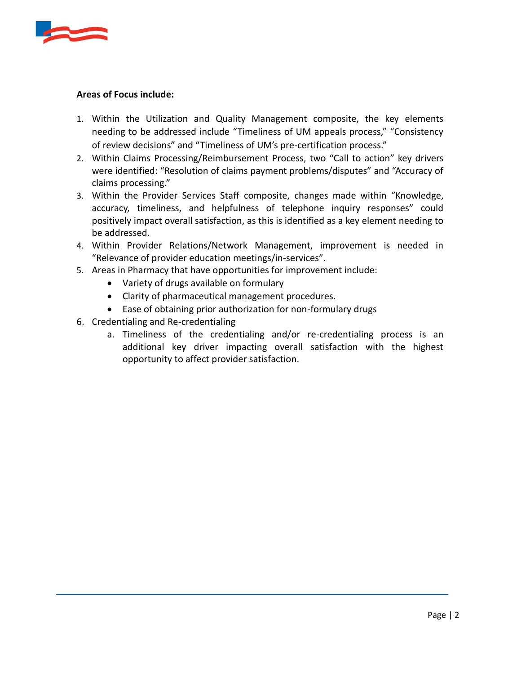

#### **Areas of Focus include:**

- 1. Within the Utilization and Quality Management composite, the key elements needing to be addressed include "Timeliness of UM appeals process," "Consistency of review decisions" and "Timeliness of UM's pre-certification process."
- 2. Within Claims Processing/Reimbursement Process, two "Call to action" key drivers were identified: "Resolution of claims payment problems/disputes" and "Accuracy of claims processing."
- 3. Within the Provider Services Staff composite, changes made within "Knowledge, accuracy, timeliness, and helpfulness of telephone inquiry responses" could positively impact overall satisfaction, as this is identified as a key element needing to be addressed.
- 4. Within Provider Relations/Network Management, improvement is needed in "Relevance of provider education meetings/in-services".
- 5. Areas in Pharmacy that have opportunities for improvement include:
	- Variety of drugs available on formulary
	- Clarity of pharmaceutical management procedures.
	- Ease of obtaining prior authorization for non-formulary drugs
- 6. Credentialing and Re-credentialing
	- a. Timeliness of the credentialing and/or re-credentialing process is an additional key driver impacting overall satisfaction with the highest opportunity to affect provider satisfaction.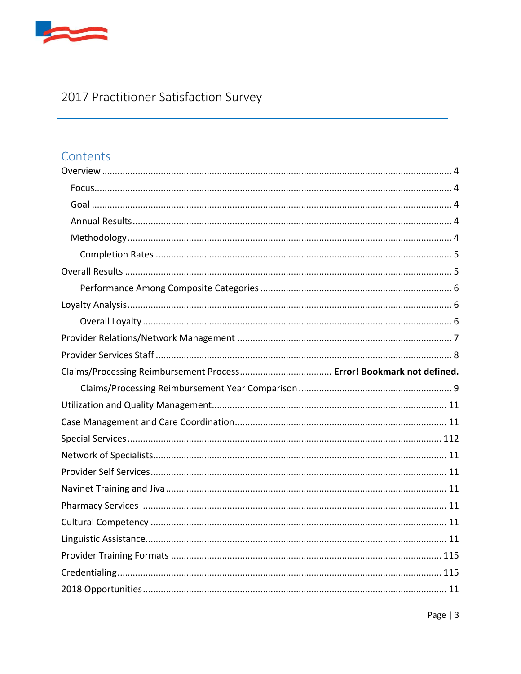

# 2017 Practitioner Satisfaction Survey

# Contents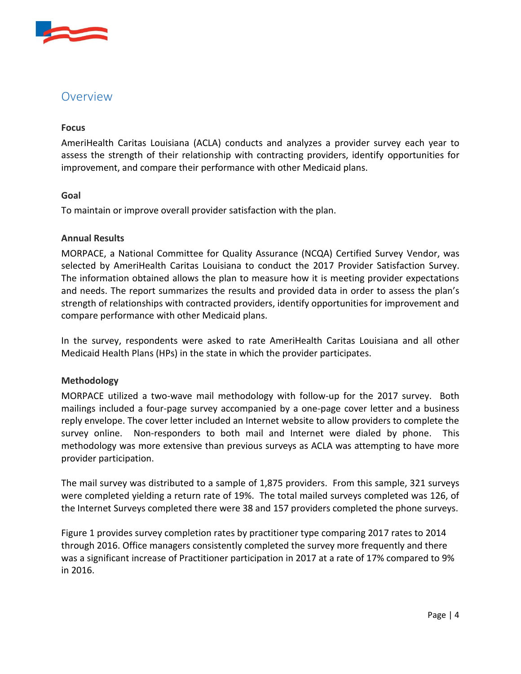

## <span id="page-3-0"></span>Overview

#### **Focus**

AmeriHealth Caritas Louisiana (ACLA) conducts and analyzes a provider survey each year to assess the strength of their relationship with contracting providers, identify opportunities for improvement, and compare their performance with other Medicaid plans.

#### <span id="page-3-1"></span>**Goal**

<span id="page-3-2"></span>To maintain or improve overall provider satisfaction with the plan.

#### **Annual Results**

MORPACE, a National Committee for Quality Assurance (NCQA) Certified Survey Vendor, was selected by AmeriHealth Caritas Louisiana to conduct the 2017 Provider Satisfaction Survey. The information obtained allows the plan to measure how it is meeting provider expectations and needs. The report summarizes the results and provided data in order to assess the plan's strength of relationships with contracted providers, identify opportunities for improvement and compare performance with other Medicaid plans.

In the survey, respondents were asked to rate AmeriHealth Caritas Louisiana and all other Medicaid Health Plans (HPs) in the state in which the provider participates.

#### <span id="page-3-3"></span>**Methodology**

MORPACE utilized a two-wave mail methodology with follow-up for the 2017 survey. Both mailings included a four-page survey accompanied by a one-page cover letter and a business reply envelope. The cover letter included an Internet website to allow providers to complete the survey online. Non-responders to both mail and Internet were dialed by phone. This methodology was more extensive than previous surveys as ACLA was attempting to have more provider participation.

The mail survey was distributed to a sample of 1,875 providers. From this sample, 321 surveys were completed yielding a return rate of 19%. The total mailed surveys completed was 126, of the Internet Surveys completed there were 38 and 157 providers completed the phone surveys.

Figure 1 provides survey completion rates by practitioner type comparing 2017 rates to 2014 through 2016. Office managers consistently completed the survey more frequently and there was a significant increase of Practitioner participation in 2017 at a rate of 17% compared to 9% in 2016.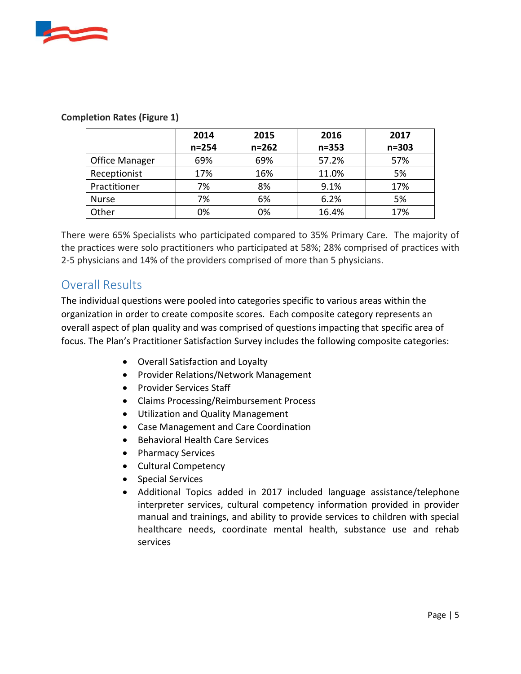

|                       | 2014      | 2015      | 2016      | 2017      |
|-----------------------|-----------|-----------|-----------|-----------|
|                       | $n = 254$ | $n = 262$ | $n = 353$ | $n = 303$ |
| <b>Office Manager</b> | 69%       | 69%       | 57.2%     | 57%       |
| Receptionist          | 17%       | 16%       | 11.0%     | 5%        |
| Practitioner          | 7%        | 8%        | 9.1%      | 17%       |
| <b>Nurse</b>          | 7%        | 6%        | 6.2%      | 5%        |
| Other                 | 0%        | 0%        | 16.4%     | 17%       |

#### <span id="page-4-0"></span>**Completion Rates (Figure 1)**

There were 65% Specialists who participated compared to 35% Primary Care. The majority of the practices were solo practitioners who participated at 58%; 28% comprised of practices with 2-5 physicians and 14% of the providers comprised of more than 5 physicians.

# Overall Results

The individual questions were pooled into categories specific to various areas within the organization in order to create composite scores. Each composite category represents an overall aspect of plan quality and was comprised of questions impacting that specific area of focus. The Plan's Practitioner Satisfaction Survey includes the following composite categories:

- <span id="page-4-1"></span>Overall Satisfaction and Loyalty
- Provider Relations/Network Management
- Provider Services Staff
- Claims Processing/Reimbursement Process
- Utilization and Quality Management
- Case Management and Care Coordination
- Behavioral Health Care Services
- Pharmacy Services
- Cultural Competency
- Special Services
- <span id="page-4-2"></span> Additional Topics added in 2017 included language assistance/telephone interpreter services, cultural competency information provided in provider manual and trainings, and ability to provide services to children with special healthcare needs, coordinate mental health, substance use and rehab services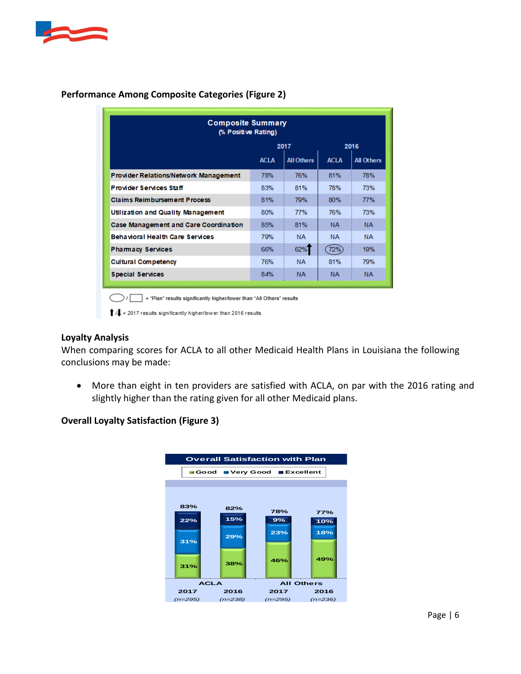

<span id="page-5-0"></span>

| <b>Composite Summary</b><br>(% Positive Rating) |             |                   |             |                   |  |  |  |
|-------------------------------------------------|-------------|-------------------|-------------|-------------------|--|--|--|
|                                                 | 2017        |                   | 2016        |                   |  |  |  |
|                                                 | <b>ACLA</b> | <b>All Others</b> | <b>ACLA</b> | <b>All Others</b> |  |  |  |
| <b>Provider Relations/Network Management</b>    | 78%         | 76%               | 81%         | 78%               |  |  |  |
| <b>Provider Services Staff</b>                  | 83%         | 81%               | 78%         | 73%               |  |  |  |
| <b>Claims Reimbursement Process</b>             | 81%         | 79%               | 80%         | 77%               |  |  |  |
| Utilization and Quality Management              | 80%         | 77%               | 76%         | 73%               |  |  |  |
| Case Management and Care Coordination           | 85%         | 81%               | NA.         | NA.               |  |  |  |
| Behavioral Health Care Services                 | 79%         | <b>NA</b>         | <b>NA</b>   | <b>NA</b>         |  |  |  |
| <b>Pharmacy Services</b>                        | 66%         | 62%               | 72%)        | 19%               |  |  |  |
| <b>Cultural Competency</b>                      | 76%         | <b>NA</b>         | 81%         | 79%               |  |  |  |
| <b>Special Services</b>                         | 84%         | <b>NA</b>         | NA.         | NA.               |  |  |  |
|                                                 |             |                   |             |                   |  |  |  |

#### **Performance Among Composite Categories (Figure 2)**

 $\blacksquare$  = "Plan" results significantly higher/lower than "All Others" results  $\bigcirc$ 

 $\uparrow$  / $\downarrow$  = 2017 results significantly higher/lower than 2016 results

#### **Loyalty Analysis**

When comparing scores for ACLA to all other Medicaid Health Plans in Louisiana the following conclusions may be made:

 More than eight in ten providers are satisfied with ACLA, on par with the 2016 rating and slightly higher than the rating given for all other Medicaid plans.

#### **Overall Loyalty Satisfaction (Figure 3)**

<span id="page-5-1"></span>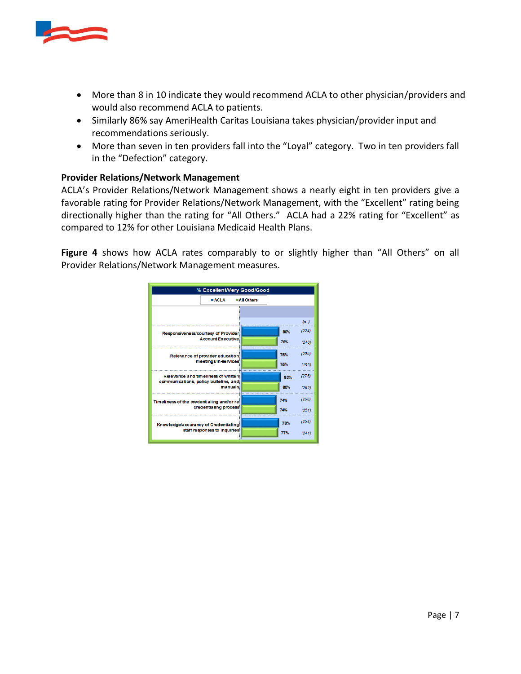

- More than 8 in 10 indicate they would recommend ACLA to other physician/providers and would also recommend ACLA to patients.
- Similarly 86% say AmeriHealth Caritas Louisiana takes physician/provider input and recommendations seriously.
- More than seven in ten providers fall into the "Loyal" category. Two in ten providers fall in the "Defection" category.

#### **Provider Relations/Network Management**

ACLA's Provider Relations/Network Management shows a nearly eight in ten providers give a favorable rating for Provider Relations/Network Management, with the "Excellent" rating being directionally higher than the rating for "All Others." ACLA had a 22% rating for "Excellent" as compared to 12% for other Louisiana Medicaid Health Plans.

**Figure 4** shows how ACLA rates comparably to or slightly higher than "All Others" on all Provider Relations/Network Management measures.

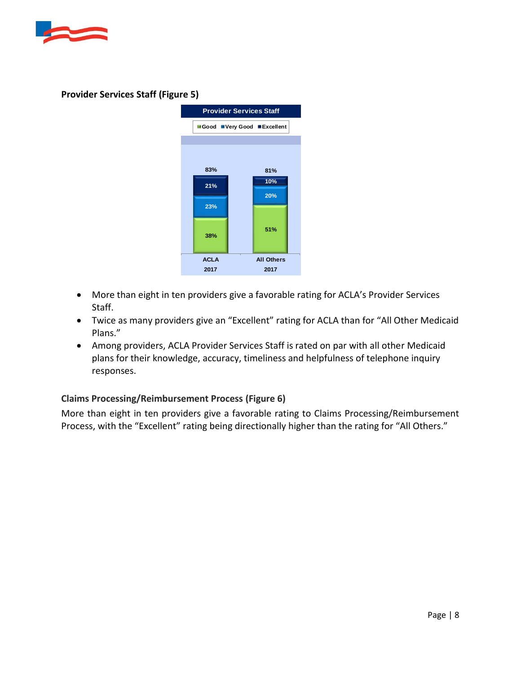



#### **Provider Services Staff (Figure 5)**

- More than eight in ten providers give a favorable rating for ACLA's Provider Services Staff.
- Twice as many providers give an "Excellent" rating for ACLA than for "All Other Medicaid Plans."
- Among providers, ACLA Provider Services Staff is rated on par with all other Medicaid plans for their knowledge, accuracy, timeliness and helpfulness of telephone inquiry responses.

#### **Claims Processing/Reimbursement Process (Figure 6)**

More than eight in ten providers give a favorable rating to Claims Processing/Reimbursement Process, with the "Excellent" rating being directionally higher than the rating for "All Others."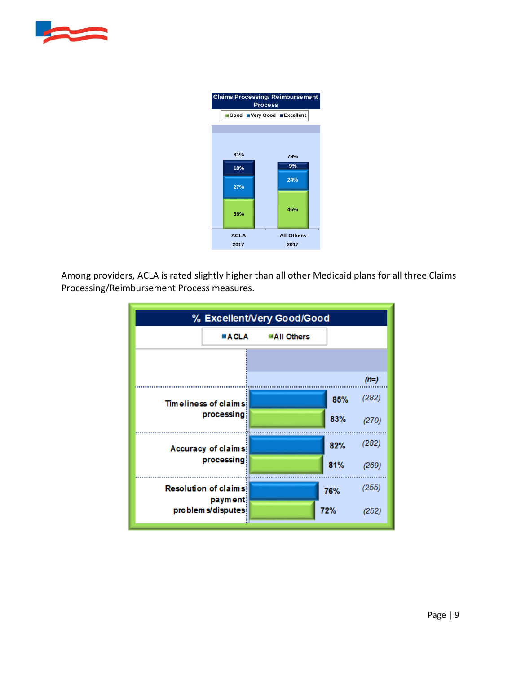



Among providers, ACLA is rated slightly higher than all other Medicaid plans for all three Claims Processing/Reimbursement Process measures.

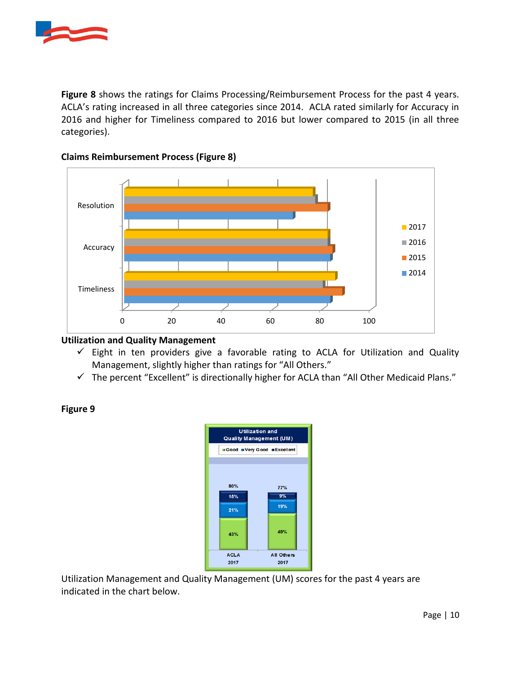

**Figure 8** shows the ratings for Claims Processing/Reimbursement Process for the past 4 years. ACLA's rating increased in all three categories since 2014. ACLA rated similarly for Accuracy in 2016 and higher for Timeliness compared to 2016 but lower compared to 2015 (in all three categories).



#### **Claims Reimbursement Process (Figure 8)**

#### **Utilization and Quality Management**

- $\checkmark$  Eight in ten providers give a favorable rating to ACLA for Utilization and Quality Management, slightly higher than ratings for "All Others."
- $\checkmark$  The percent "Excellent" is directionally higher for ACLA than "All Other Medicaid Plans."

#### **Figure 9**



Utilization Management and Quality Management (UM) scores for the past 4 years are indicated in the chart below.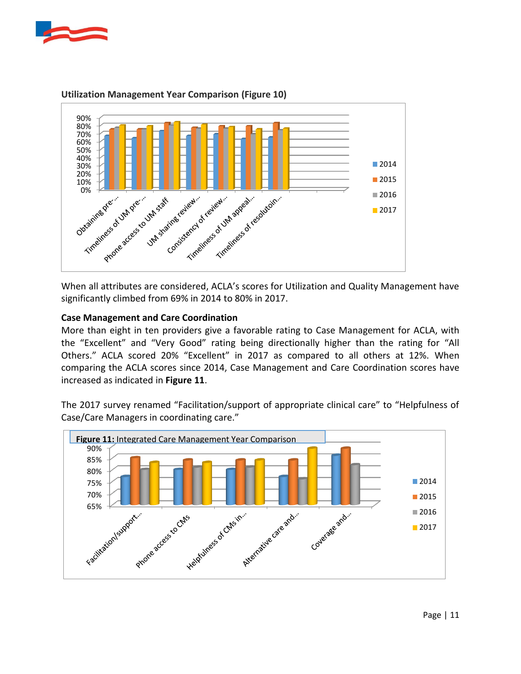



#### <span id="page-10-0"></span>**Utilization Management Year Comparison (Figure 10)**

When all attributes are considered, ACLA's scores for Utilization and Quality Management have significantly climbed from 69% in 2014 to 80% in 2017.

#### **Case Management and Care Coordination**

More than eight in ten providers give a favorable rating to Case Management for ACLA, with the "Excellent" and "Very Good" rating being directionally higher than the rating for "All Others." ACLA scored 20% "Excellent" in 2017 as compared to all others at 12%. When comparing the ACLA scores since 2014, Case Management and Care Coordination scores have increased as indicated in **Figure 11**.

The 2017 survey renamed "Facilitation/support of appropriate clinical care" to "Helpfulness of Case/Care Managers in coordinating care."

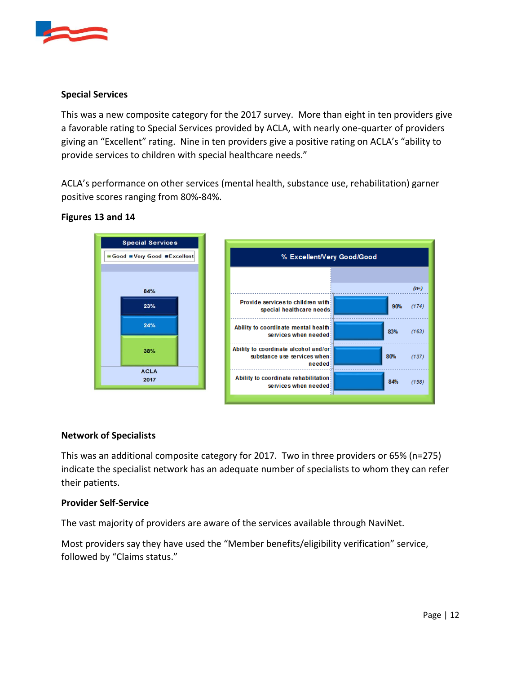

#### **Special Services**

This was a new composite category for the 2017 survey. More than eight in ten providers give a favorable rating to Special Services provided by ACLA, with nearly one-quarter of providers giving an "Excellent" rating. Nine in ten providers give a positive rating on ACLA's "ability to provide services to children with special healthcare needs."

ACLA's performance on other services (mental health, substance use, rehabilitation) garner positive scores ranging from 80%-84%.

#### **Figures 13 and 14**



#### **Network of Specialists**

This was an additional composite category for 2017. Two in three providers or 65% (n=275) indicate the specialist network has an adequate number of specialists to whom they can refer their patients.

#### **Provider Self-Service**

The vast majority of providers are aware of the services available through NaviNet.

Most providers say they have used the "Member benefits/eligibility verification" service, followed by "Claims status."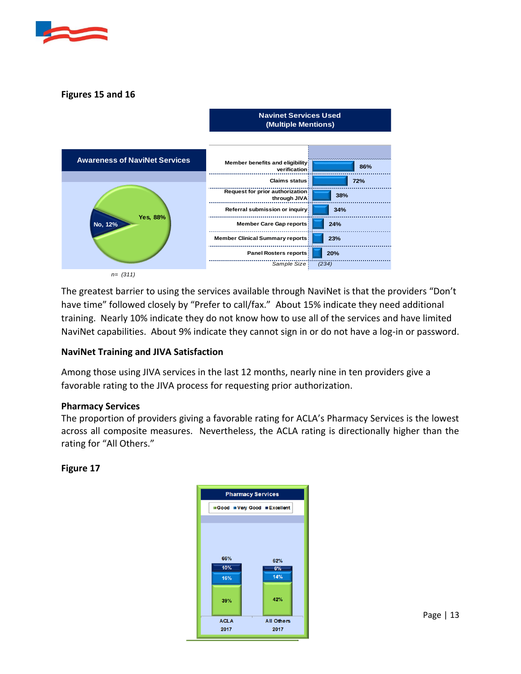

#### **Figures 15 and 16**



*n= (311)*

The greatest barrier to using the services available through NaviNet is that the providers "Don't have time" followed closely by "Prefer to call/fax." About 15% indicate they need additional training. Nearly 10% indicate they do not know how to use all of the services and have limited NaviNet capabilities. About 9% indicate they cannot sign in or do not have a log-in or password.

#### **NaviNet Training and JIVA Satisfaction**

Among those using JIVA services in the last 12 months, nearly nine in ten providers give a favorable rating to the JIVA process for requesting prior authorization.

#### **Pharmacy Services**

The proportion of providers giving a favorable rating for ACLA's Pharmacy Services is the lowest across all composite measures. Nevertheless, the ACLA rating is directionally higher than the rating for "All Others."

#### **Figure 17**

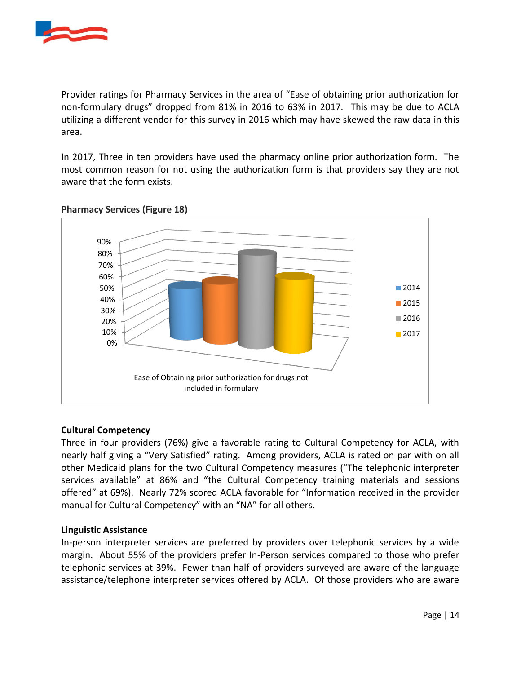

Provider ratings for Pharmacy Services in the area of "Ease of obtaining prior authorization for non-formulary drugs" dropped from 81% in 2016 to 63% in 2017. This may be due to ACLA utilizing a different vendor for this survey in 2016 which may have skewed the raw data in this area.

In 2017, Three in ten providers have used the pharmacy online prior authorization form. The most common reason for not using the authorization form is that providers say they are not aware that the form exists.



#### **Pharmacy Services (Figure 18)**

#### **Cultural Competency**

Three in four providers (76%) give a favorable rating to Cultural Competency for ACLA, with nearly half giving a "Very Satisfied" rating. Among providers, ACLA is rated on par with on all other Medicaid plans for the two Cultural Competency measures ("The telephonic interpreter services available" at 86% and "the Cultural Competency training materials and sessions offered" at 69%). Nearly 72% scored ACLA favorable for "Information received in the provider manual for Cultural Competency" with an "NA" for all others.

#### **Linguistic Assistance**

In-person interpreter services are preferred by providers over telephonic services by a wide margin. About 55% of the providers prefer In-Person services compared to those who prefer telephonic services at 39%. Fewer than half of providers surveyed are aware of the language assistance/telephone interpreter services offered by ACLA. Of those providers who are aware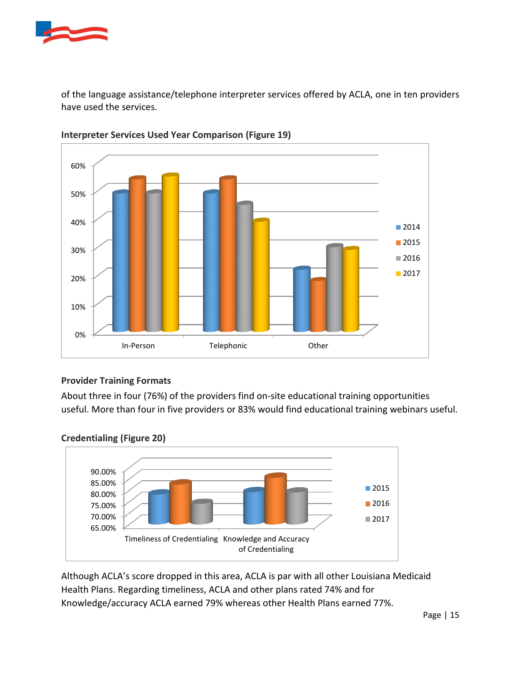

of the language assistance/telephone interpreter services offered by ACLA, one in ten providers have used the services.



**Interpreter Services Used Year Comparison (Figure 19)** 

#### **Provider Training Formats**

About three in four (76%) of the providers find on-site educational training opportunities useful. More than four in five providers or 83% would find educational training webinars useful.





Although ACLA's score dropped in this area, ACLA is par with all other Louisiana Medicaid Health Plans. Regarding timeliness, ACLA and other plans rated 74% and for Knowledge/accuracy ACLA earned 79% whereas other Health Plans earned 77%.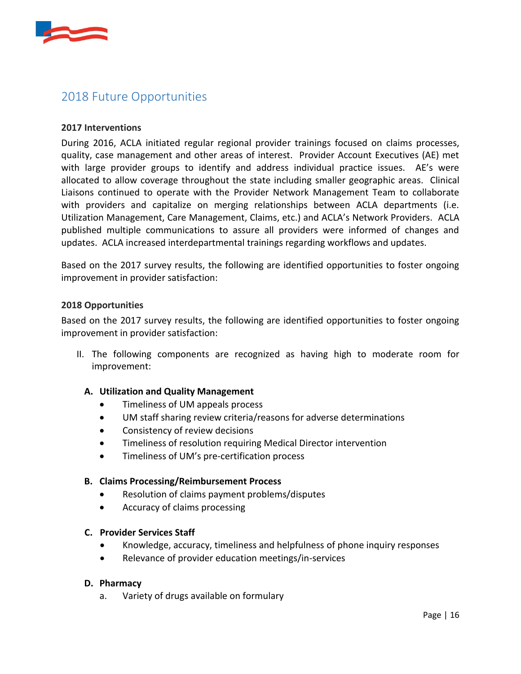

# 2018 Future Opportunities

#### **2017 Interventions**

During 2016, ACLA initiated regular regional provider trainings focused on claims processes, quality, case management and other areas of interest. Provider Account Executives (AE) met with large provider groups to identify and address individual practice issues. AE's were allocated to allow coverage throughout the state including smaller geographic areas. Clinical Liaisons continued to operate with the Provider Network Management Team to collaborate with providers and capitalize on merging relationships between ACLA departments (i.e. Utilization Management, Care Management, Claims, etc.) and ACLA's Network Providers. ACLA published multiple communications to assure all providers were informed of changes and updates. ACLA increased interdepartmental trainings regarding workflows and updates.

Based on the 2017 survey results, the following are identified opportunities to foster ongoing improvement in provider satisfaction:

#### **2018 Opportunities**

Based on the 2017 survey results, the following are identified opportunities to foster ongoing improvement in provider satisfaction:

II. The following components are recognized as having high to moderate room for improvement:

#### **A. Utilization and Quality Management**

- Timeliness of UM appeals process
- UM staff sharing review criteria/reasons for adverse determinations
- Consistency of review decisions
- Timeliness of resolution requiring Medical Director intervention
- Timeliness of UM's pre-certification process

#### **B. Claims Processing/Reimbursement Process**

- Resolution of claims payment problems/disputes
- Accuracy of claims processing

#### **C. Provider Services Staff**

- Knowledge, accuracy, timeliness and helpfulness of phone inquiry responses
- Relevance of provider education meetings/in-services

#### **D. Pharmacy**

a. Variety of drugs available on formulary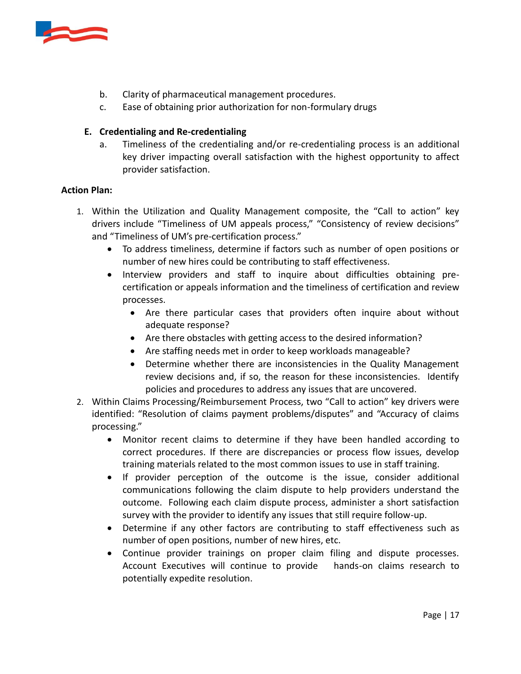

- b. Clarity of pharmaceutical management procedures.
- c. Ease of obtaining prior authorization for non-formulary drugs

#### **E. Credentialing and Re-credentialing**

a. Timeliness of the credentialing and/or re-credentialing process is an additional key driver impacting overall satisfaction with the highest opportunity to affect provider satisfaction.

#### **Action Plan:**

- 1. Within the Utilization and Quality Management composite, the "Call to action" key drivers include "Timeliness of UM appeals process," "Consistency of review decisions" and "Timeliness of UM's pre-certification process."
	- To address timeliness, determine if factors such as number of open positions or number of new hires could be contributing to staff effectiveness.
	- Interview providers and staff to inquire about difficulties obtaining precertification or appeals information and the timeliness of certification and review processes.
		- Are there particular cases that providers often inquire about without adequate response?
		- Are there obstacles with getting access to the desired information?
		- Are staffing needs met in order to keep workloads manageable?
		- Determine whether there are inconsistencies in the Quality Management review decisions and, if so, the reason for these inconsistencies. Identify policies and procedures to address any issues that are uncovered.
- 2. Within Claims Processing/Reimbursement Process, two "Call to action" key drivers were identified: "Resolution of claims payment problems/disputes" and "Accuracy of claims processing."
	- Monitor recent claims to determine if they have been handled according to correct procedures. If there are discrepancies or process flow issues, develop training materials related to the most common issues to use in staff training.
	- If provider perception of the outcome is the issue, consider additional communications following the claim dispute to help providers understand the outcome. Following each claim dispute process, administer a short satisfaction survey with the provider to identify any issues that still require follow-up.
	- Determine if any other factors are contributing to staff effectiveness such as number of open positions, number of new hires, etc.
	- Continue provider trainings on proper claim filing and dispute processes. Account Executives will continue to provide hands-on claims research to potentially expedite resolution.